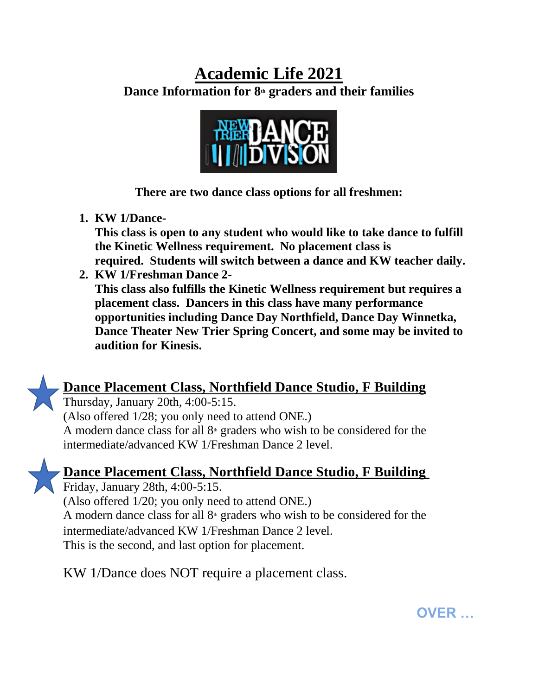## **Academic Life 2021**

**Dance Information for 8th graders and their families**



**There are two dance class options for all freshmen:**

**1. KW 1/Dance-**

**This class is open to any student who would like to take dance to fulfill the Kinetic Wellness requirement. No placement class is required. Students will switch between a dance and KW teacher daily.** 

**2. KW 1/Freshman Dance 2- This class also fulfills the Kinetic Wellness requirement but requires a placement class. Dancers in this class have many performance opportunities including Dance Day Northfield, Dance Day Winnetka, Dance Theater New Trier Spring Concert, and some may be invited to audition for Kinesis.**



Thursday, January 20th, 4:00-5:15. (Also offered 1/28; you only need to attend ONE.) A modern dance class for all  $8<sup>th</sup>$  graders who wish to be considered for the intermediate/advanced KW 1/Freshman Dance 2 level.



## **Dance Placement Class, Northfield Dance Studio, F Building**

Friday, January 28th, 4:00-5:15. (Also offered 1/20; you only need to attend ONE.) A modern dance class for all  $8<sup>th</sup>$  graders who wish to be considered for the intermediate/advanced KW 1/Freshman Dance 2 level. This is the second, and last option for placement.

KW 1/Dance does NOT require a placement class.